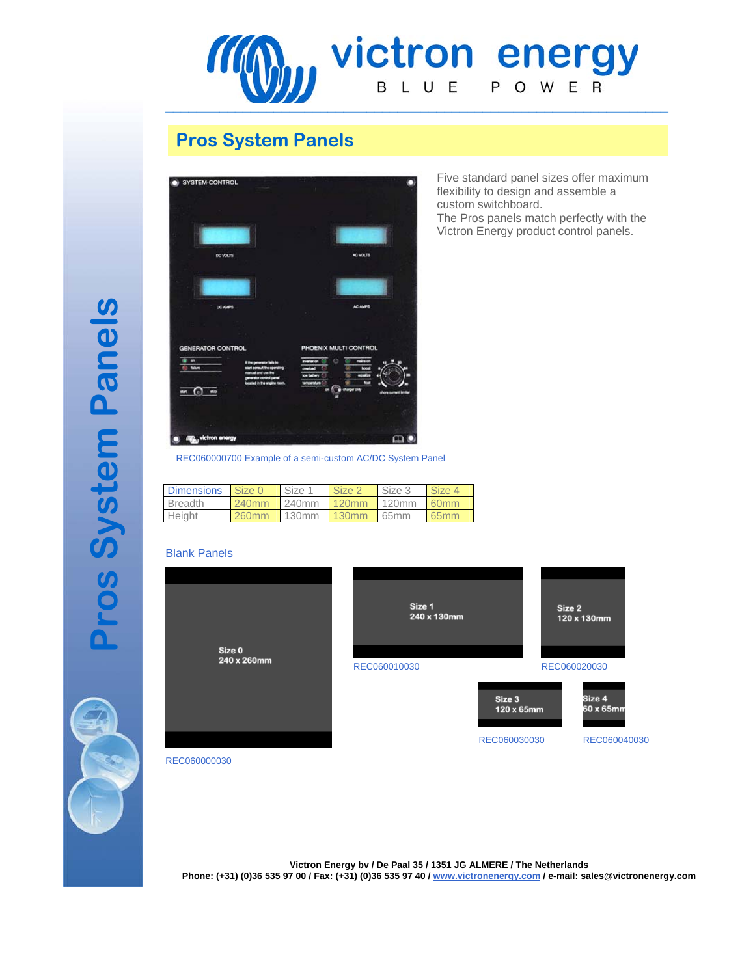

# **Pros System Panels**



Five standard panel sizes offer maximum flexibility to design and assemble a custom switchboard.

The Pros panels match perfectly with the Victron Energy product control panels.

REC060000700 Example of a semi-custom AC/DC System Panel

| <b>Dimensions</b> | Size 0            | Size 1 | Size 2 | Size 3 | Size 4           |
|-------------------|-------------------|--------|--------|--------|------------------|
| <b>Breadth</b>    | 240 <sub>mm</sub> | 240mm  | 120mm  | 120mm  | 60 <sub>mm</sub> |
| Height            | 260mm             | 130mm  | 130mm  | 165mm  | 65mm             |

### Blank Panels



REC060000030

**Victron Energy bv / De Paal 35 / 1351 JG ALMERE / The Netherlands Phone: (+31) (0)36 535 97 00 / Fax: (+31) (0)36 535 97 40 / www.victronenergy.com / e-mail: sales@victronenergy.com**

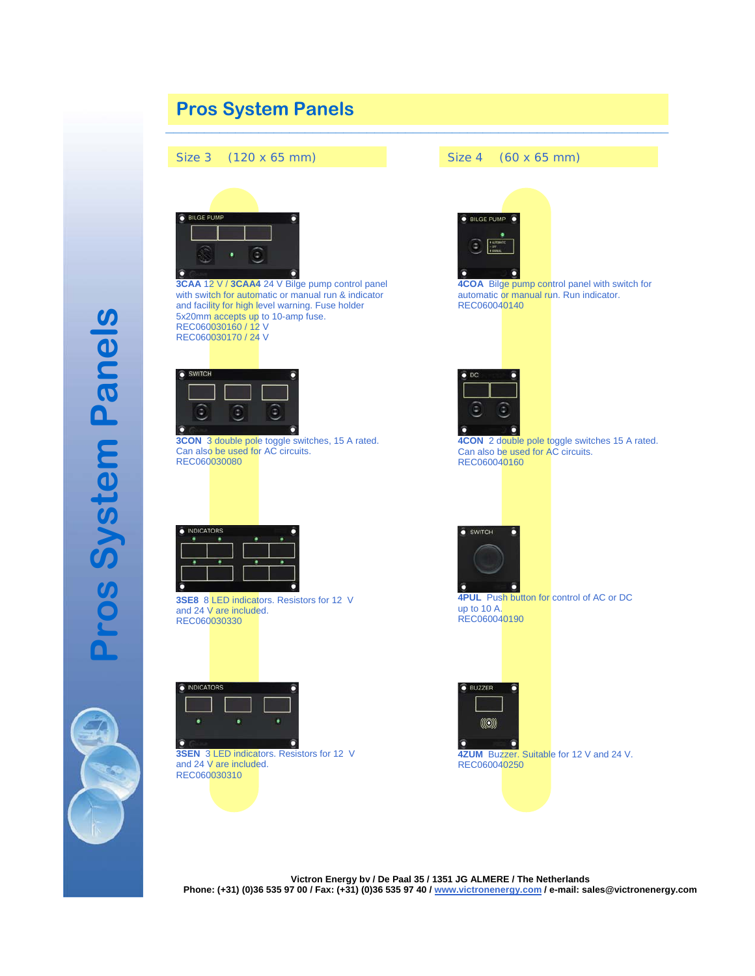

**Pros System Panels**  ros System Panels



**Victron Energy bv / De Paal 35 / 1351 JG ALMERE / The Netherlands Phone: (+31) (0)36 535 97 00 / Fax: (+31) (0)36 535 97 40 / www.victronenergy.com / e-mail: sales@victronenergy.com**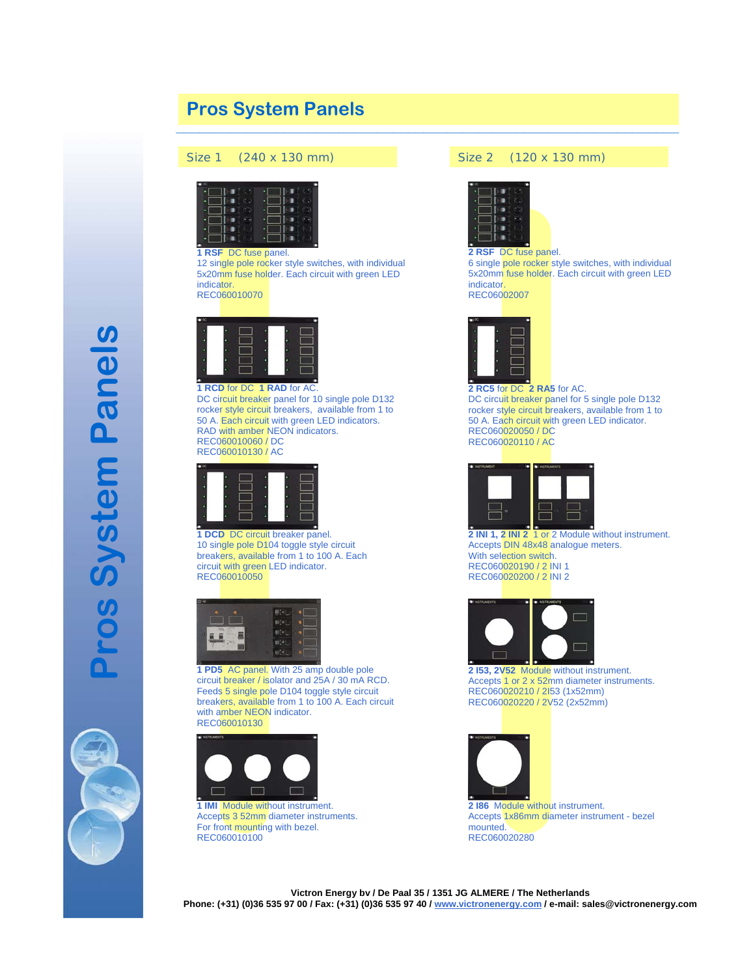# **Pros System Panels**

#### Size 1 (240 x 130 mm) Size 2 (120 x 130 mm)



**1 RSF** DC fuse panel.

12 single pole rocker style switches, with individual 5x20mm fuse holder. Each circuit with green LED indicator.

REC060010070



#### **1 RCD** for DC **1 RAD** for AC

DC circuit breaker panel for 10 single pole D132 rocker style circuit breakers, available from 1 to 50 A. Each circuit with green LED indicators. RAD with amber NEON indicators. REC060010060 / DC REC060010130 / AC



**1 DCD** DC circuit breaker panel. 10 single pole D104 toggle style circuit breakers, available from 1 to 100 A. Each circuit with green LED indicator. REC060010050



**1 PD5** AC panel. With 25 amp double pole circuit breaker / isolator and 25A / 30 mA RCD. Feeds 5 single pole D104 toggle style circuit breakers, available from 1 to 100 A. Each circuit with amber NEON indicator. REC060010130



**1 IMI** Module without instrument. Accepts 3 52mm diameter instruments. For front mounting with bezel. REC060010100



**\_\_\_\_\_\_\_\_\_\_\_\_\_\_\_\_\_\_\_\_\_\_\_\_\_\_\_\_\_\_\_\_\_\_\_\_\_\_\_\_\_\_\_\_\_\_\_\_\_\_\_\_\_\_\_\_\_\_\_\_\_\_\_\_\_**

#### **2 RSF** DC fuse panel.

6 single pole rocker style switches, with individual 5x20mm fuse holder. Each circuit with green LED indicator.

REC06002007



**2 RC5** for DC **2 RA5** for AC. DC circuit breaker panel for 5 single pole D132 rocker style circuit breakers, available from 1 to 50 A. Each circuit with green LED indicator. REC060020050 / DC REC060020110 / AC



**2 INI 1, 2 INI 2** 1 or 2 Module without instrument. Accepts DIN 48x48 analogue meters. With selection switch. REC060020190 / 2 INI 1 REC060020200 / 2 INI 2



**2 I53, 2V52** Module without instrument. Accepts 1 or 2 x 52mm diameter instruments. REC060020210 / 2I53 (1x52mm) REC060020220 / 2V52 (2x52mm)



**2 I86** Module without instrument. Accepts 1x86mm diameter instrument - bezel mounted. REC060020280

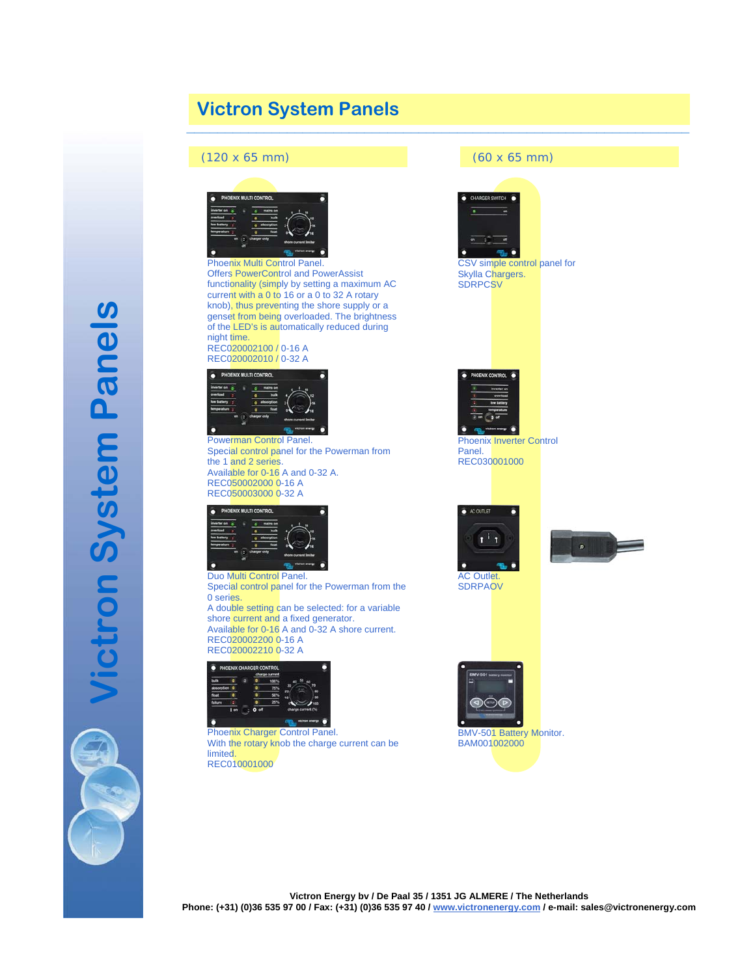# **Victron System Panels \_\_\_\_\_\_\_\_\_\_\_\_\_\_\_\_\_\_\_\_\_\_\_\_\_\_\_\_\_\_\_\_\_\_\_\_\_\_\_\_\_\_\_\_\_\_\_\_\_\_\_\_\_\_\_\_\_\_\_\_\_\_\_\_\_**

## (120 x 65 mm) (60 x 65 mm)



Phoenix Multi Control Panel. Offers PowerControl and PowerAssist functionality (simply by setting a maximum AC current with a 0 to 16 or a 0 to 32 A rotary knob), thus preventing the shore supply or a genset from being overloaded. The brightness of the LED's is automatically reduced during night time. REC020002100 / 0-16 A

REC020002010 / 0-32 A



Powerman Control Panel. Special control panel for the Powerman from the 1 and 2 series. Available for 0-16 A and 0-32 A. REC050002000 0-16 A REC050003000 0-32 A



Duo Multi Control Panel. Special control panel for the Powerman from the 0 series. A double setting can be selected: for a variable shore current and a fixed generator. Available for 0-16 A and 0-32 A shore current. REC020002200 0-16 A

REC020002210 0-32 A



Phoenix Charger Control Panel. With the rotary knob the charge current can be limited. REC010001000



CSV simple control panel for Skylla Chargers. **SDRPCSV** 



Phoenix Inverter Control Panel. REC030001000







BMV-501 Battery Monitor. BAM001002000